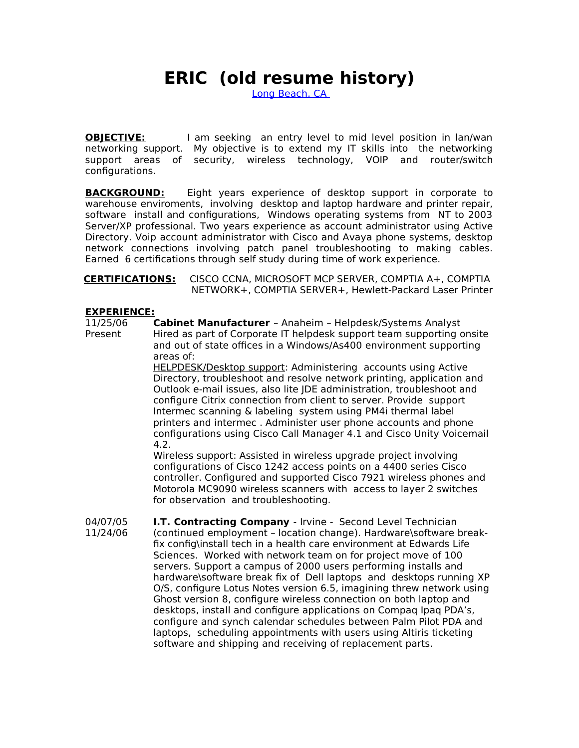## **ERIC (old resume history)**

Long Beach, CA

**OBJECTIVE:** I am seeking an entry level to mid level position in lan/wan networking support. My objective is to extend my IT skills into the networking support areas of security, wireless technology, VOIP and router/switch configurations.

**BACKGROUND:** Eight years experience of desktop support in corporate to warehouse enviroments, involving desktop and laptop hardware and printer repair, software install and configurations, Windows operating systems from NT to 2003 Server/XP professional. Two years experience as account administrator using Active Directory. Voip account administrator with Cisco and Avaya phone systems, desktop network connections involving patch panel troubleshooting to making cables. Earned 6 certifications through self study during time of work experience.

 **CERTIFICATIONS:** CISCO CCNA, MICROSOFT MCP SERVER, COMPTIA A+, COMPTIA NETWORK+, COMPTIA SERVER+, Hewlett-Packard Laser Printer

**EXPERIENCE:**<br>11/25/06 **( Cabinet Manufacturer** - Anaheim - Helpdesk/Systems Analyst Present Hired as part of Corporate IT helpdesk support team supporting onsite and out of state offices in a Windows/As400 environment supporting areas of:

> HELPDESK/Desktop support: Administering accounts using Active Directory, troubleshoot and resolve network printing, application and Outlook e-mail issues, also lite JDE administration, troubleshoot and configure Citrix connection from client to server. Provide support Intermec scanning & labeling system using PM4i thermal label printers and intermec . Administer user phone accounts and phone configurations using Cisco Call Manager 4.1 and Cisco Unity Voicemail 4.2.

> Wireless support: Assisted in wireless upgrade project involving configurations of Cisco 1242 access points on a 4400 series Cisco controller. Configured and supported Cisco 7921 wireless phones and Motorola MC9090 wireless scanners with access to layer 2 switches for observation and troubleshooting.

04/07/05 **I.T. Contracting Company** - Irvine - Second Level Technician 11/24/06 (continued employment – location change). Hardware\software breakfix config\install tech in a health care environment at Edwards Life Sciences. Worked with network team on for project move of 100 servers. Support a campus of 2000 users performing installs and hardware\software break fix of Dell laptops and desktops running XP O/S, configure Lotus Notes version 6.5, imagining threw network using Ghost version 8, configure wireless connection on both laptop and desktops, install and configure applications on Compaq Ipaq PDA's, configure and synch calendar schedules between Palm Pilot PDA and laptops, scheduling appointments with users using Altiris ticketing software and shipping and receiving of replacement parts.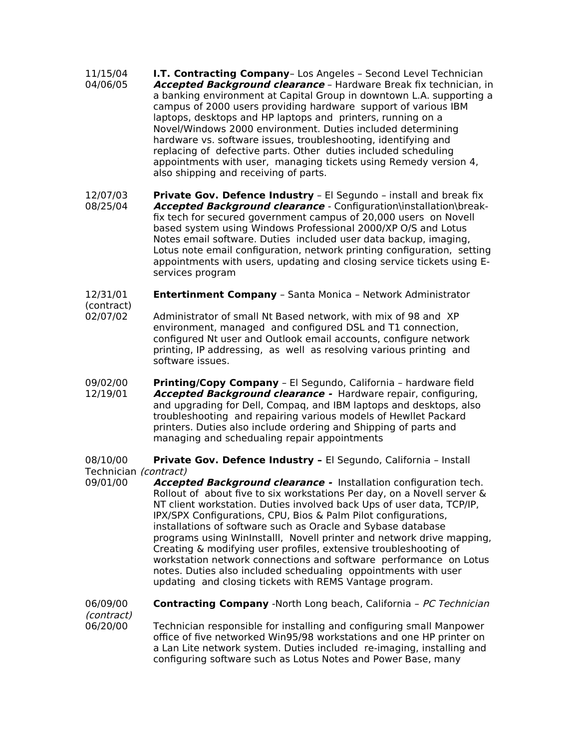- 11/15/04 **I.T. Contracting Company** Los Angeles Second Level Technician 04/06/05 **Accepted Background clearance** – Hardware Break fix technician, in a banking environment at Capital Group in downtown L.A. supporting a campus of 2000 users providing hardware support of various IBM laptops, desktops and HP laptops and printers, running on a Novel/Windows 2000 environment. Duties included determining hardware vs. software issues, troubleshooting, identifying and replacing of defective parts. Other duties included scheduling appointments with user, managing tickets using Remedy version 4, also shipping and receiving of parts.
- 12/07/03 **Private Gov. Defence Industry** El Segundo install and break fix 08/25/04 **Accepted Background clearance** - Configuration\installation\breakfix tech for secured government campus of 20,000 users on Novell based system using Windows Professional 2000/XP O/S and Lotus Notes email software. Duties included user data backup, imaging, Lotus note email configuration, network printing configuration, setting appointments with users, updating and closing service tickets using Eservices program
- 12/31/01 **Entertinment Company** Santa Monica Network Administrator (contract)
- 02/07/02 Administrator of small Nt Based network, with mix of 98 and XP environment, managed and configured DSL and T1 connection, configured Nt user and Outlook email accounts, configure network printing, IP addressing, as well as resolving various printing and software issues.
- 09/02/00 **Printing/Copy Company** El Segundo, California hardware field 12/19/01 **Accepted Background clearance -** Hardware repair, configuring, and upgrading for Dell, Compaq, and IBM laptops and desktops, also troubleshooting and repairing various models of Hewllet Packard printers. Duties also include ordering and Shipping of parts and managing and schedualing repair appointments

08/10/00 **Private Gov. Defence Industry –** El Segundo, California – Install Technician (contract)

09/01/00 **Accepted Background clearance -** Installation configuration tech. Rollout of about five to six workstations Per day, on a Novell server & NT client workstation. Duties involved back Ups of user data, TCP/IP, IPX/SPX Configurations, CPU, Bios & Palm Pilot configurations, installations of software such as Oracle and Sybase database programs using WinInstalll, Novell printer and network drive mapping, Creating & modifying user profiles, extensive troubleshooting of workstation network connections and software performance on Lotus notes. Duties also included schedualing oppointments with user updating and closing tickets with REMS Vantage program.

06/09/00 **Contracting Company** -North Long beach, California – PC Technician (contract)

06/20/00 Technician responsible for installing and configuring small Manpower office of five networked Win95/98 workstations and one HP printer on a Lan Lite network system. Duties included re-imaging, installing and configuring software such as Lotus Notes and Power Base, many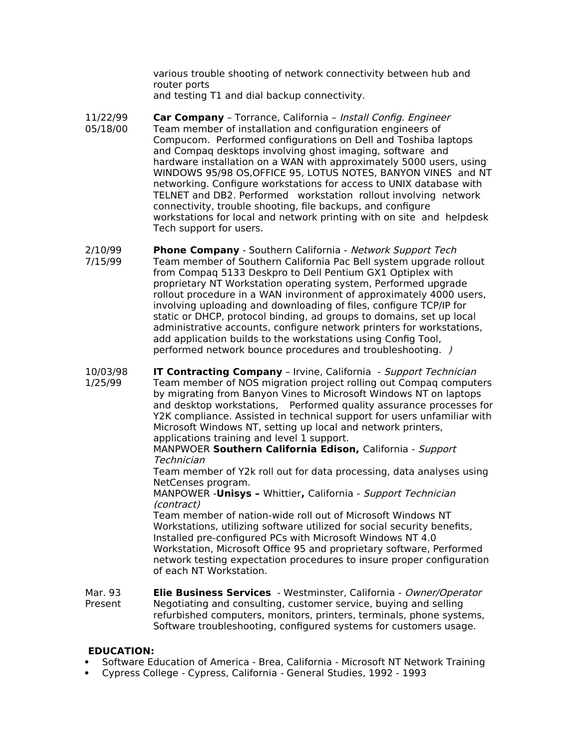various trouble shooting of network connectivity between hub and router ports

and testing T1 and dial backup connectivity.

- 11/22/99 **Car Company** Torrance, California Install Config. Engineer 05/18/00 Team member of installation and configuration engineers of Compucom. Performed configurations on Dell and Toshiba laptops and Compaq desktops involving ghost imaging, software and hardware installation on a WAN with approximately 5000 users, using WINDOWS 95/98 OS,OFFICE 95, LOTUS NOTES, BANYON VINES and NT networking. Configure workstations for access to UNIX database with TELNET and DB2. Performed workstation rollout involving network connectivity, trouble shooting, file backups, and configure workstations for local and network printing with on site and helpdesk Tech support for users.
- 2/10/99 **Phone Company** Southern California Network Support Tech 7/15/99 Team member of Southern California Pac Bell system upgrade rollout from Compaq 5133 Deskpro to Dell Pentium GX1 Optiplex with proprietary NT Workstation operating system, Performed upgrade rollout procedure in a WAN invironment of approximately 4000 users, involving uploading and downloading of files, configure TCP/IP for static or DHCP, protocol binding, ad groups to domains, set up local administrative accounts, configure network printers for workstations, add application builds to the workstations using Config Tool, performed network bounce procedures and troubleshooting. )
- 10/03/98 **IT Contracting Company** Irvine, California Support Technician 1/25/99 Team member of NOS migration project rolling out Compaq computers by migrating from Banyon Vines to Microsoft Windows NT on laptops and desktop workstations, Performed quality assurance processes for Y2K compliance. Assisted in technical support for users unfamiliar with Microsoft Windows NT, setting up local and network printers, applications training and level 1 support.

## MANPWOER **Southern California Edison,** California - Support Technician

Team member of Y2k roll out for data processing, data analyses using NetCenses program.

MANPOWER -**Unisys –** Whittier**,** California - Support Technician (contract)

Team member of nation-wide roll out of Microsoft Windows NT Workstations, utilizing software utilized for social security benefits, Installed pre-configured PCs with Microsoft Windows NT 4.0 Workstation, Microsoft Office 95 and proprietary software, Performed network testing expectation procedures to insure proper configuration of each NT Workstation.

Mar. 93 **Elie Business Services** - Westminster, California - Owner/Operator Present Negotiating and consulting, customer service, buying and selling refurbished computers, monitors, printers, terminals, phone systems, Software troubleshooting, configured systems for customers usage.

## **EDUCATION:**

- Software Education of America Brea, California Microsoft NT Network Training
- Cypress College Cypress, California General Studies, 1992 1993